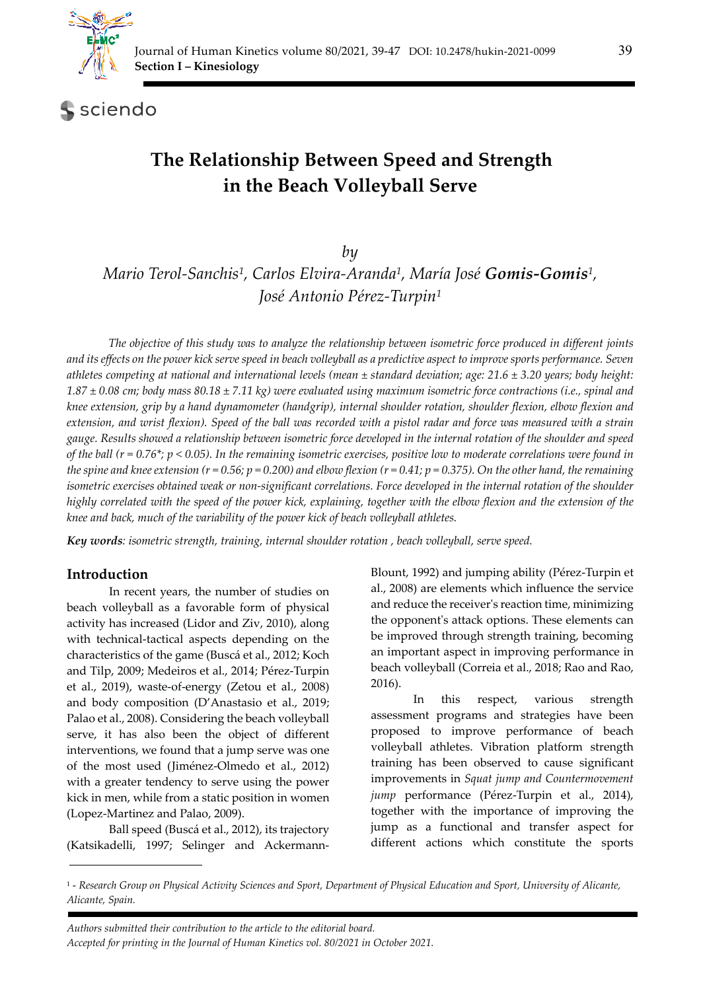

**S** sciendo

# **The Relationship Between Speed and Strength in the Beach Volleyball Serve**

*by* 

*Mario Terol-Sanchis1, Carlos Elvira-Aranda1, María José Gomis-Gomis1, José Antonio Pérez-Turpin1*

*The objective of this study was to analyze the relationship between isometric force produced in different joints and its effects on the power kick serve speed in beach volleyball as a predictive aspect to improve sports performance. Seven athletes competing at national and international levels (mean ± standard deviation; age: 21.6 ± 3.20 years; body height: 1.87 ± 0.08 cm; body mass 80.18 ± 7.11 kg) were evaluated using maximum isometric force contractions (i.e., spinal and knee extension, grip by a hand dynamometer (handgrip), internal shoulder rotation, shoulder flexion, elbow flexion and extension, and wrist flexion). Speed of the ball was recorded with a pistol radar and force was measured with a strain gauge. Results showed a relationship between isometric force developed in the internal rotation of the shoulder and speed of the ball (r = 0.76\*; p < 0.05). In the remaining isometric exercises, positive low to moderate correlations were found in the spine and knee extension (r = 0.56; p = 0.200) and elbow flexion (r = 0.41; p = 0.375). On the other hand, the remaining isometric exercises obtained weak or non-significant correlations. Force developed in the internal rotation of the shoulder highly correlated with the speed of the power kick, explaining, together with the elbow flexion and the extension of the knee and back, much of the variability of the power kick of beach volleyball athletes.* 

*Key words: isometric strength, training, internal shoulder rotation , beach volleyball, serve speed.* 

#### **Introduction**

In recent years, the number of studies on beach volleyball as a favorable form of physical activity has increased (Lidor and Ziv, 2010), along with technical-tactical aspects depending on the characteristics of the game (Buscá et al., 2012; Koch and Tilp, 2009; Medeiros et al., 2014; Pérez-Turpin et al., 2019), waste-of-energy (Zetou et al., 2008) and body composition (D'Anastasio et al., 2019; Palao et al., 2008). Considering the beach volleyball serve, it has also been the object of different interventions, we found that a jump serve was one of the most used (Jiménez-Olmedo et al., 2012) with a greater tendency to serve using the power kick in men, while from a static position in women (Lopez-Martinez and Palao, 2009).

Ball speed (Buscá et al., 2012), its trajectory (Katsikadelli, 1997; Selinger and AckermannBlount, 1992) and jumping ability (Pérez-Turpin et al., 2008) are elements which influence the service and reduce the receiverʹs reaction time, minimizing the opponentʹs attack options. These elements can be improved through strength training, becoming an important aspect in improving performance in beach volleyball (Correia et al., 2018; Rao and Rao, 2016).

In this respect, various strength assessment programs and strategies have been proposed to improve performance of beach volleyball athletes. Vibration platform strength training has been observed to cause significant improvements in *Squat jump and Countermovement jump* performance (Pérez-Turpin et al., 2014), together with the importance of improving the jump as a functional and transfer aspect for different actions which constitute the sports

*Authors submitted their contribution to the article to the editorial board. Accepted for printing in the Journal of Human Kinetics vol. 80/2021 in October 2021.*

<sup>1 -</sup> *Research Group on Physical Activity Sciences and Sport, Department of Physical Education and Sport, University of Alicante, Alicante, Spain.*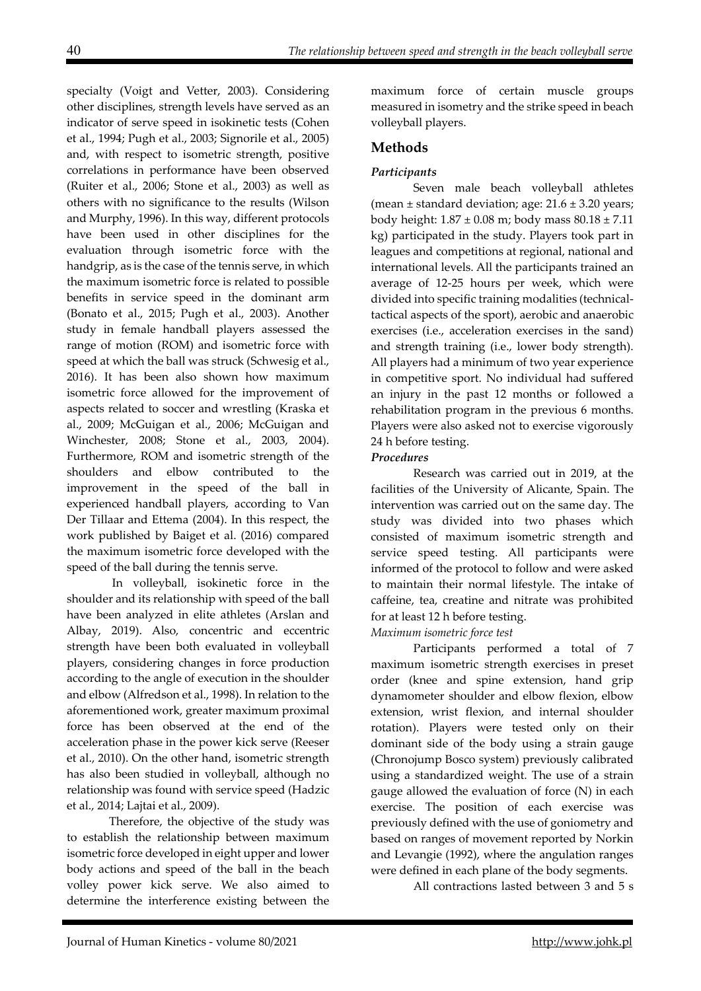specialty (Voigt and Vetter, 2003). Considering other disciplines, strength levels have served as an indicator of serve speed in isokinetic tests (Cohen et al., 1994; Pugh et al., 2003; Signorile et al., 2005) and, with respect to isometric strength, positive correlations in performance have been observed (Ruiter et al., 2006; Stone et al., 2003) as well as others with no significance to the results (Wilson and Murphy, 1996). In this way, different protocols have been used in other disciplines for the evaluation through isometric force with the handgrip, as is the case of the tennis serve, in which the maximum isometric force is related to possible benefits in service speed in the dominant arm (Bonato et al., 2015; Pugh et al., 2003). Another study in female handball players assessed the range of motion (ROM) and isometric force with speed at which the ball was struck (Schwesig et al., 2016). It has been also shown how maximum isometric force allowed for the improvement of aspects related to soccer and wrestling (Kraska et al., 2009; McGuigan et al., 2006; McGuigan and Winchester, 2008; Stone et al., 2003, 2004). Furthermore, ROM and isometric strength of the shoulders and elbow contributed to the improvement in the speed of the ball in experienced handball players, according to Van Der Tillaar and Ettema (2004). In this respect, the work published by Baiget et al. (2016) compared the maximum isometric force developed with the speed of the ball during the tennis serve.

 In volleyball, isokinetic force in the shoulder and its relationship with speed of the ball have been analyzed in elite athletes (Arslan and Albay, 2019). Also, concentric and eccentric strength have been both evaluated in volleyball players, considering changes in force production according to the angle of execution in the shoulder and elbow (Alfredson et al., 1998). In relation to the aforementioned work, greater maximum proximal force has been observed at the end of the acceleration phase in the power kick serve (Reeser et al., 2010). On the other hand, isometric strength has also been studied in volleyball, although no relationship was found with service speed (Hadzic et al., 2014; Lajtai et al., 2009).

Therefore, the objective of the study was to establish the relationship between maximum isometric force developed in eight upper and lower body actions and speed of the ball in the beach volley power kick serve. We also aimed to determine the interference existing between the

maximum force of certain muscle groups measured in isometry and the strike speed in beach volleyball players.

## **Methods**

## *Participants*

Seven male beach volleyball athletes (mean  $\pm$  standard deviation; age: 21.6  $\pm$  3.20 years; body height:  $1.87 \pm 0.08$  m; body mass  $80.18 \pm 7.11$ kg) participated in the study. Players took part in leagues and competitions at regional, national and international levels. All the participants trained an average of 12-25 hours per week, which were divided into specific training modalities (technicaltactical aspects of the sport), aerobic and anaerobic exercises (i.e., acceleration exercises in the sand) and strength training (i.e., lower body strength). All players had a minimum of two year experience in competitive sport. No individual had suffered an injury in the past 12 months or followed a rehabilitation program in the previous 6 months. Players were also asked not to exercise vigorously 24 h before testing.

#### *Procedures*

Research was carried out in 2019, at the facilities of the University of Alicante, Spain. The intervention was carried out on the same day. The study was divided into two phases which consisted of maximum isometric strength and service speed testing. All participants were informed of the protocol to follow and were asked to maintain their normal lifestyle. The intake of caffeine, tea, creatine and nitrate was prohibited for at least 12 h before testing.

#### *Maximum isometric force test*

Participants performed a total of 7 maximum isometric strength exercises in preset order (knee and spine extension, hand grip dynamometer shoulder and elbow flexion, elbow extension, wrist flexion, and internal shoulder rotation). Players were tested only on their dominant side of the body using a strain gauge (Chronojump Bosco system) previously calibrated using a standardized weight. The use of a strain gauge allowed the evaluation of force (N) in each exercise. The position of each exercise was previously defined with the use of goniometry and based on ranges of movement reported by Norkin and Levangie (1992), where the angulation ranges were defined in each plane of the body segments.

All contractions lasted between 3 and 5 s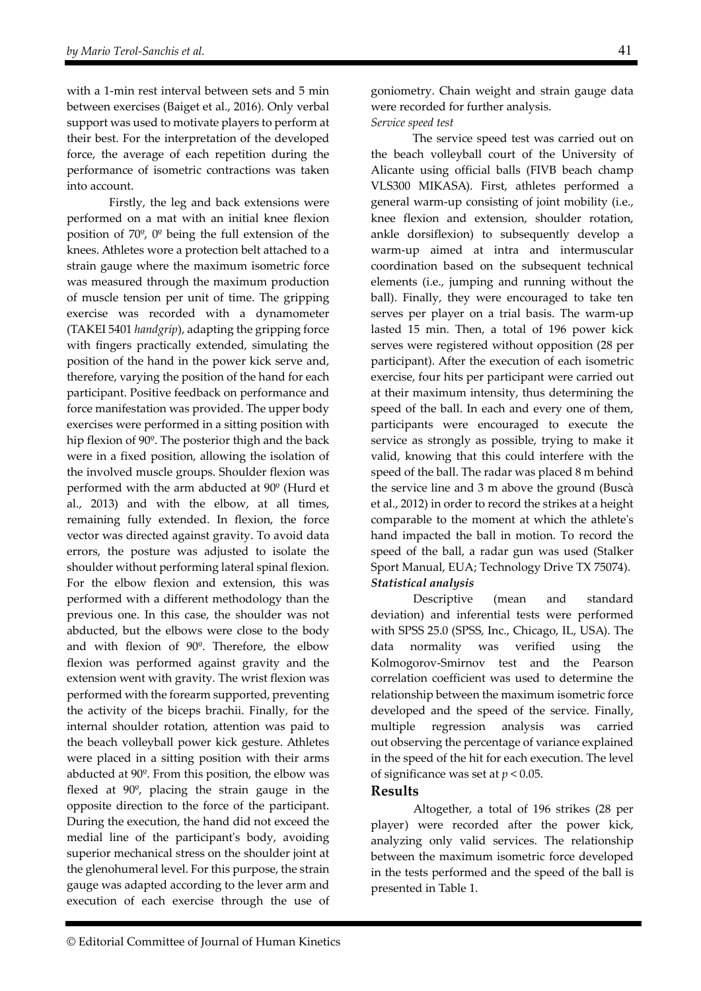with a 1-min rest interval between sets and 5 min between exercises (Baiget et al., 2016). Only verbal support was used to motivate players to perform at their best. For the interpretation of the developed force, the average of each repetition during the performance of isometric contractions was taken into account.

Firstly, the leg and back extensions were performed on a mat with an initial knee flexion position of 70º, 0º being the full extension of the knees. Athletes wore a protection belt attached to a strain gauge where the maximum isometric force was measured through the maximum production of muscle tension per unit of time. The gripping exercise was recorded with a dynamometer (TAKEI 5401 *handgrip*), adapting the gripping force with fingers practically extended, simulating the position of the hand in the power kick serve and, therefore, varying the position of the hand for each participant. Positive feedback on performance and force manifestation was provided. The upper body exercises were performed in a sitting position with hip flexion of 90º. The posterior thigh and the back were in a fixed position, allowing the isolation of the involved muscle groups. Shoulder flexion was performed with the arm abducted at 90º (Hurd et al., 2013) and with the elbow, at all times, remaining fully extended. In flexion, the force vector was directed against gravity. To avoid data errors, the posture was adjusted to isolate the shoulder without performing lateral spinal flexion. For the elbow flexion and extension, this was performed with a different methodology than the previous one. In this case, the shoulder was not abducted, but the elbows were close to the body and with flexion of 90º. Therefore, the elbow flexion was performed against gravity and the extension went with gravity. The wrist flexion was performed with the forearm supported, preventing the activity of the biceps brachii. Finally, for the internal shoulder rotation, attention was paid to the beach volleyball power kick gesture. Athletes were placed in a sitting position with their arms abducted at 90º. From this position, the elbow was flexed at 90º, placing the strain gauge in the opposite direction to the force of the participant. During the execution, the hand did not exceed the medial line of the participant's body, avoiding superior mechanical stress on the shoulder joint at the glenohumeral level. For this purpose, the strain gauge was adapted according to the lever arm and execution of each exercise through the use of

goniometry. Chain weight and strain gauge data were recorded for further analysis. *Service speed test* 

 The service speed test was carried out on the beach volleyball court of the University of Alicante using official balls (FIVB beach champ VLS300 MIKASA). First, athletes performed a general warm-up consisting of joint mobility (i.e., knee flexion and extension, shoulder rotation, ankle dorsiflexion) to subsequently develop a warm-up aimed at intra and intermuscular coordination based on the subsequent technical elements (i.e., jumping and running without the ball). Finally, they were encouraged to take ten serves per player on a trial basis. The warm-up lasted 15 min. Then, a total of 196 power kick serves were registered without opposition (28 per participant). After the execution of each isometric exercise, four hits per participant were carried out at their maximum intensity, thus determining the speed of the ball. In each and every one of them, participants were encouraged to execute the service as strongly as possible, trying to make it valid, knowing that this could interfere with the speed of the ball. The radar was placed 8 m behind the service line and 3 m above the ground (Buscà et al., 2012) in order to record the strikes at a height comparable to the moment at which the athleteʹs hand impacted the ball in motion. To record the speed of the ball, a radar gun was used (Stalker Sport Manual, EUA; Technology Drive TX 75074). *Statistical analysis* 

Descriptive (mean and standard deviation) and inferential tests were performed with SPSS 25.0 (SPSS, Inc., Chicago, IL, USA). The data normality was verified using the Kolmogorov-Smirnov test and the Pearson correlation coefficient was used to determine the relationship between the maximum isometric force developed and the speed of the service. Finally, multiple regression analysis was carried out observing the percentage of variance explained in the speed of the hit for each execution. The level of significance was set at *p* < 0.05.

#### **Results**

Altogether, a total of 196 strikes (28 per player) were recorded after the power kick, analyzing only valid services. The relationship between the maximum isometric force developed in the tests performed and the speed of the ball is presented in Table 1.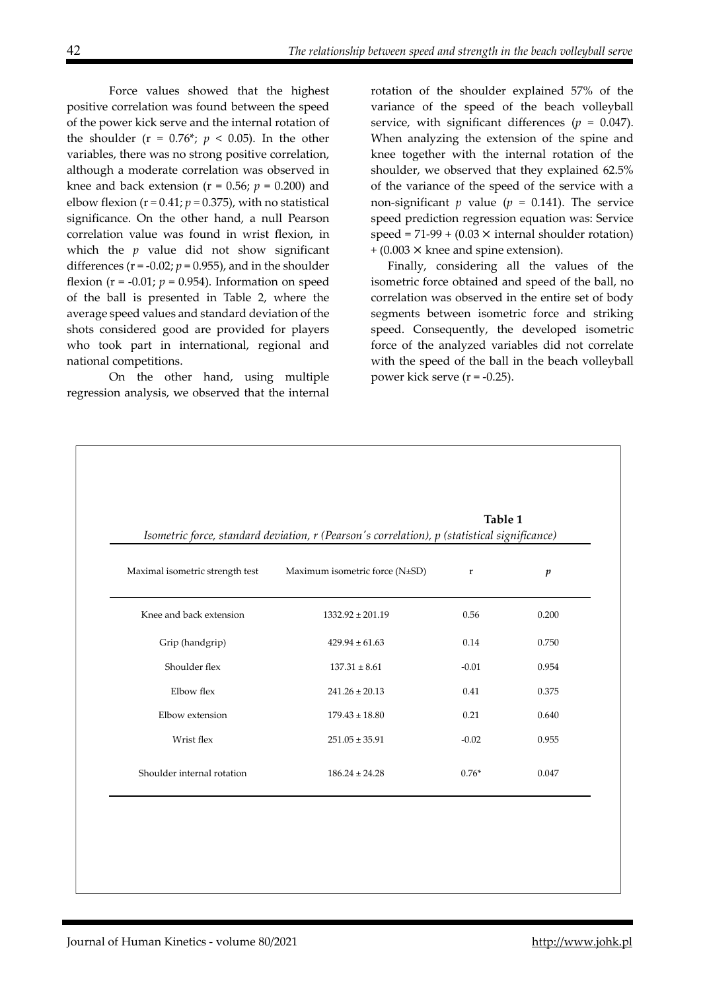Force values showed that the highest positive correlation was found between the speed of the power kick serve and the internal rotation of the shoulder ( $r = 0.76$ <sup>\*</sup>;  $p < 0.05$ ). In the other variables, there was no strong positive correlation, although a moderate correlation was observed in knee and back extension ( $r = 0.56$ ;  $p = 0.200$ ) and elbow flexion  $(r = 0.41; p = 0.375)$ , with no statistical significance. On the other hand, a null Pearson correlation value was found in wrist flexion, in which the *p* value did not show significant differences ( $r = -0.02$ ;  $p = 0.955$ ), and in the shoulder flexion ( $r = -0.01$ ;  $p = 0.954$ ). Information on speed of the ball is presented in Table 2, where the average speed values and standard deviation of the shots considered good are provided for players who took part in international, regional and national competitions.

On the other hand, using multiple regression analysis, we observed that the internal

rotation of the shoulder explained 57% of the variance of the speed of the beach volleyball service, with significant differences ( $p = 0.047$ ). When analyzing the extension of the spine and knee together with the internal rotation of the shoulder, we observed that they explained 62.5% of the variance of the speed of the service with a non-significant  $p$  value ( $p = 0.141$ ). The service speed prediction regression equation was: Service speed =  $71-99 + (0.03 \times \text{internal shoulder rotation})$  $+$  (0.003  $\times$  knee and spine extension).

Finally, considering all the values of the isometric force obtained and speed of the ball, no correlation was observed in the entire set of body segments between isometric force and striking speed. Consequently, the developed isometric force of the analyzed variables did not correlate with the speed of the ball in the beach volleyball power kick serve  $(r = -0.25)$ .

|                                 | Isometric force, standard deviation, r (Pearson's correlation), p (statistical significance) | Table 1     |                  |
|---------------------------------|----------------------------------------------------------------------------------------------|-------------|------------------|
| Maximal isometric strength test | Maximum isometric force (N±SD)                                                               | $\mathbf r$ | $\boldsymbol{p}$ |
| Knee and back extension         | $1332.92 \pm 201.19$                                                                         | 0.56        | 0.200            |
| Grip (handgrip)                 | $429.94 \pm 61.63$                                                                           | 0.14        | 0.750            |
| Shoulder flex                   | $137.31 \pm 8.61$                                                                            | $-0.01$     | 0.954            |
| Elbow flex                      | $241.26 \pm 20.13$                                                                           | 0.41        | 0.375            |
| Elbow extension                 | $179.43 \pm 18.80$                                                                           | 0.21        | 0.640            |
| Wrist flex                      | $251.05 \pm 35.91$                                                                           | $-0.02$     | 0.955            |
| Shoulder internal rotation      | $186.24 \pm 24.28$                                                                           | $0.76*$     | 0.047            |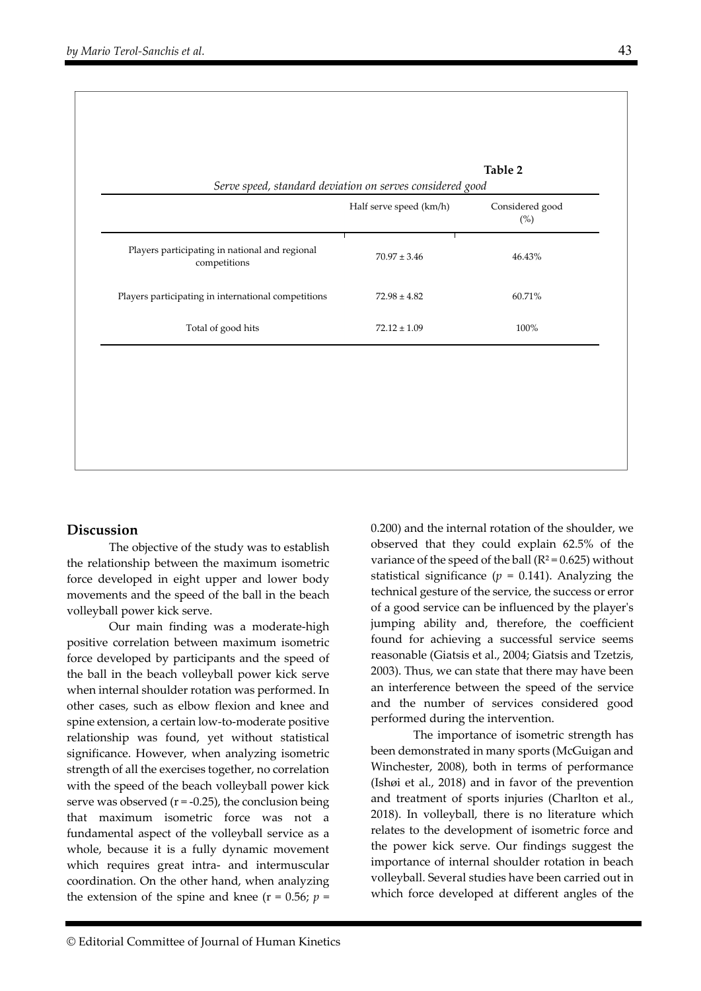|                                                                | Half serve speed (km/h) | Considered good<br>$(\%)$ |  |
|----------------------------------------------------------------|-------------------------|---------------------------|--|
| Players participating in national and regional<br>competitions | $70.97 \pm 3.46$        | 46.43%                    |  |
| Players participating in international competitions            | $72.98 \pm 4.82$        | 60.71%                    |  |
| Total of good hits                                             | $72.12 \pm 1.09$        | 100%                      |  |
|                                                                |                         |                           |  |
|                                                                |                         |                           |  |

## **Discussion**

The objective of the study was to establish the relationship between the maximum isometric force developed in eight upper and lower body movements and the speed of the ball in the beach volleyball power kick serve.

Our main finding was a moderate-high positive correlation between maximum isometric force developed by participants and the speed of the ball in the beach volleyball power kick serve when internal shoulder rotation was performed. In other cases, such as elbow flexion and knee and spine extension, a certain low-to-moderate positive relationship was found, yet without statistical significance. However, when analyzing isometric strength of all the exercises together, no correlation with the speed of the beach volleyball power kick serve was observed  $(r = -0.25)$ , the conclusion being that maximum isometric force was not a fundamental aspect of the volleyball service as a whole, because it is a fully dynamic movement which requires great intra- and intermuscular coordination. On the other hand, when analyzing the extension of the spine and knee ( $r = 0.56$ ;  $p =$ 

0.200) and the internal rotation of the shoulder, we observed that they could explain 62.5% of the variance of the speed of the ball ( $R^2 = 0.625$ ) without statistical significance  $(p = 0.141)$ . Analyzing the technical gesture of the service, the success or error of a good service can be influenced by the playerʹs jumping ability and, therefore, the coefficient found for achieving a successful service seems reasonable (Giatsis et al., 2004; Giatsis and Tzetzis, 2003). Thus, we can state that there may have been an interference between the speed of the service and the number of services considered good performed during the intervention.

The importance of isometric strength has been demonstrated in many sports (McGuigan and Winchester, 2008), both in terms of performance (Ishøi et al., 2018) and in favor of the prevention and treatment of sports injuries (Charlton et al., 2018). In volleyball, there is no literature which relates to the development of isometric force and the power kick serve. Our findings suggest the importance of internal shoulder rotation in beach volleyball. Several studies have been carried out in which force developed at different angles of the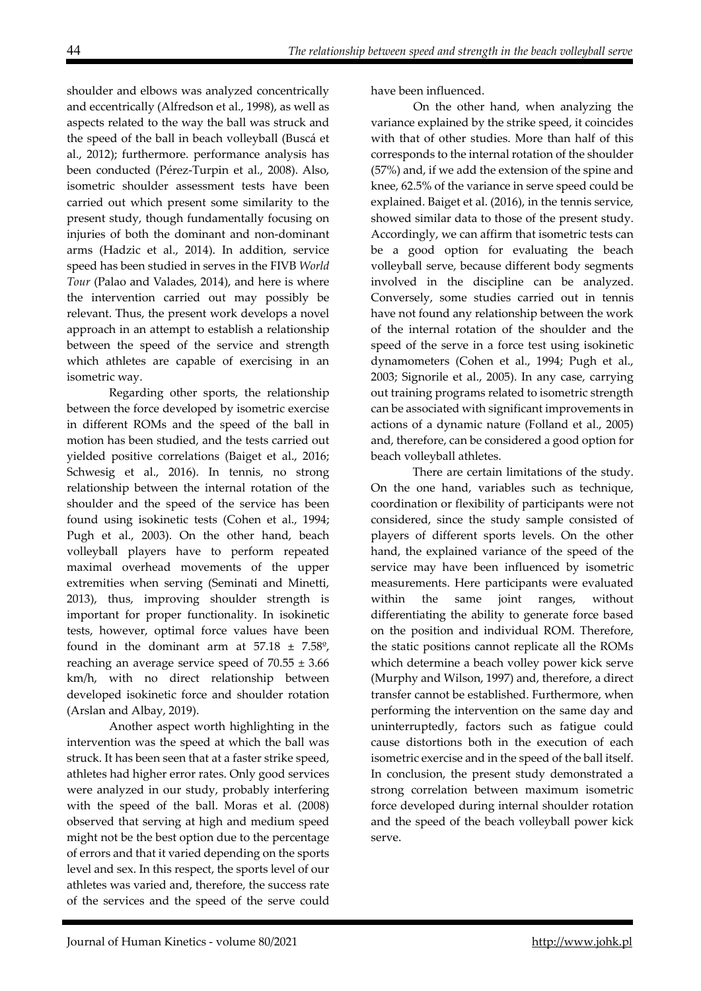shoulder and elbows was analyzed concentrically and eccentrically (Alfredson et al., 1998), as well as aspects related to the way the ball was struck and the speed of the ball in beach volleyball (Buscá et al., 2012); furthermore. performance analysis has been conducted (Pérez-Turpin et al., 2008). Also, isometric shoulder assessment tests have been carried out which present some similarity to the present study, though fundamentally focusing on injuries of both the dominant and non-dominant arms (Hadzic et al., 2014). In addition, service speed has been studied in serves in the FIVB *World Tour* (Palao and Valades, 2014), and here is where the intervention carried out may possibly be relevant. Thus, the present work develops a novel approach in an attempt to establish a relationship between the speed of the service and strength which athletes are capable of exercising in an isometric way.

Regarding other sports, the relationship between the force developed by isometric exercise in different ROMs and the speed of the ball in motion has been studied, and the tests carried out yielded positive correlations (Baiget et al., 2016; Schwesig et al., 2016). In tennis, no strong relationship between the internal rotation of the shoulder and the speed of the service has been found using isokinetic tests (Cohen et al., 1994; Pugh et al., 2003). On the other hand, beach volleyball players have to perform repeated maximal overhead movements of the upper extremities when serving (Seminati and Minetti, 2013), thus, improving shoulder strength is important for proper functionality. In isokinetic tests, however, optimal force values have been found in the dominant arm at  $57.18 \pm 7.58^{\circ}$ , reaching an average service speed of  $70.55 \pm 3.66$ km/h, with no direct relationship between developed isokinetic force and shoulder rotation (Arslan and Albay, 2019).

Another aspect worth highlighting in the intervention was the speed at which the ball was struck. It has been seen that at a faster strike speed, athletes had higher error rates. Only good services were analyzed in our study, probably interfering with the speed of the ball. Moras et al. (2008) observed that serving at high and medium speed might not be the best option due to the percentage of errors and that it varied depending on the sports level and sex. In this respect, the sports level of our athletes was varied and, therefore, the success rate of the services and the speed of the serve could

have been influenced.

On the other hand, when analyzing the variance explained by the strike speed, it coincides with that of other studies. More than half of this corresponds to the internal rotation of the shoulder (57%) and, if we add the extension of the spine and knee, 62.5% of the variance in serve speed could be explained. Baiget et al. (2016), in the tennis service, showed similar data to those of the present study. Accordingly, we can affirm that isometric tests can be a good option for evaluating the beach volleyball serve, because different body segments involved in the discipline can be analyzed. Conversely, some studies carried out in tennis have not found any relationship between the work of the internal rotation of the shoulder and the speed of the serve in a force test using isokinetic dynamometers (Cohen et al., 1994; Pugh et al., 2003; Signorile et al., 2005). In any case, carrying out training programs related to isometric strength can be associated with significant improvements in actions of a dynamic nature (Folland et al., 2005) and, therefore, can be considered a good option for beach volleyball athletes.

There are certain limitations of the study. On the one hand, variables such as technique, coordination or flexibility of participants were not considered, since the study sample consisted of players of different sports levels. On the other hand, the explained variance of the speed of the service may have been influenced by isometric measurements. Here participants were evaluated within the same joint ranges, without differentiating the ability to generate force based on the position and individual ROM. Therefore, the static positions cannot replicate all the ROMs which determine a beach volley power kick serve (Murphy and Wilson, 1997) and, therefore, a direct transfer cannot be established. Furthermore, when performing the intervention on the same day and uninterruptedly, factors such as fatigue could cause distortions both in the execution of each isometric exercise and in the speed of the ball itself. In conclusion, the present study demonstrated a strong correlation between maximum isometric force developed during internal shoulder rotation and the speed of the beach volleyball power kick serve.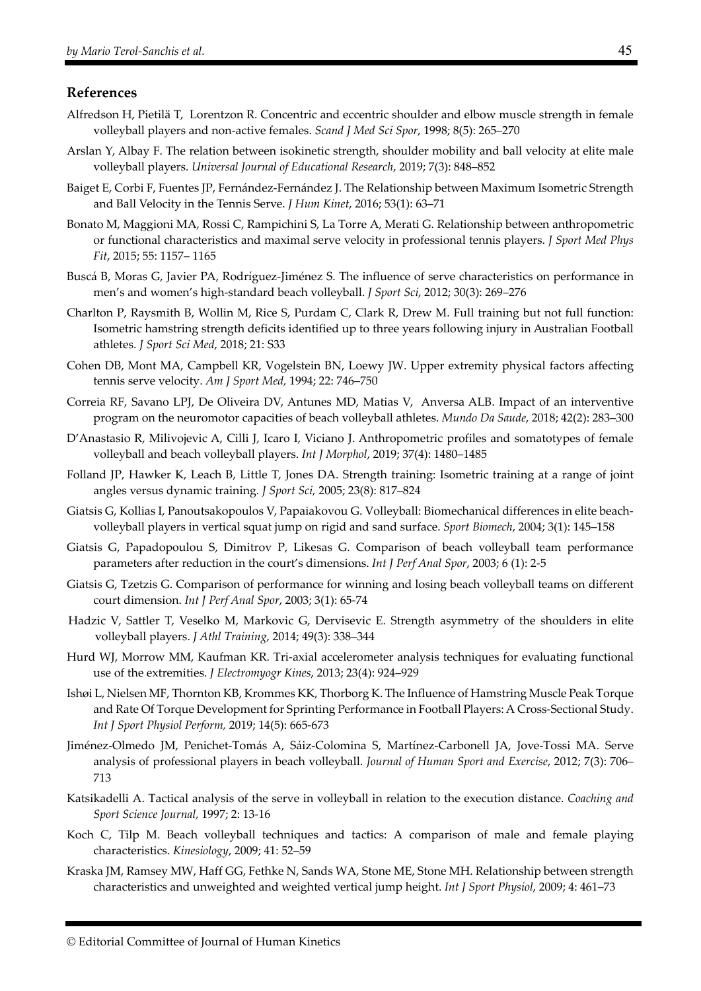#### **References**

- Alfredson H, Pietilä T, Lorentzon R. Concentric and eccentric shoulder and elbow muscle strength in female volleyball players and non-active females. *Scand J Med Sci Spor*, 1998; 8(5): 265–270
- Arslan Y, Albay F. The relation between isokinetic strength, shoulder mobility and ball velocity at elite male volleyball players. *Universal Journal of Educational Research*, 2019; 7(3): 848–852
- Baiget E, Corbi F, Fuentes JP, Fernández-Fernández J. The Relationship between Maximum Isometric Strength and Ball Velocity in the Tennis Serve. *J Hum Kinet*, 2016; 53(1): 63–71
- Bonato M, Maggioni MA, Rossi C, Rampichini S, La Torre A, Merati G. Relationship between anthropometric or functional characteristics and maximal serve velocity in professional tennis players. *J Sport Med Phys Fit*, 2015; 55: 1157– 1165
- Buscá B, Moras G, Javier PA, Rodríguez-Jiménez S. The influence of serve characteristics on performance in men's and women's high-standard beach volleyball. *J Sport Sci*, 2012; 30(3): 269–276
- Charlton P, Raysmith B, Wollin M, Rice S, Purdam C, Clark R, Drew M. Full training but not full function: Isometric hamstring strength deficits identified up to three years following injury in Australian Football athletes. *J Sport Sci Med*, 2018; 21: S33
- Cohen DB, Mont MA, Campbell KR, Vogelstein BN, Loewy JW. Upper extremity physical factors affecting tennis serve velocity. *Am J Sport Med,* 1994; 22: 746–750
- Correia RF, Savano LPJ, De Oliveira DV, Antunes MD, Matias V, Anversa ALB. Impact of an interventive program on the neuromotor capacities of beach volleyball athletes. *Mundo Da Saude*, 2018; 42(2): 283–300
- D'Anastasio R, Milivojevic A, Cilli J, Icaro I, Viciano J. Anthropometric profiles and somatotypes of female volleyball and beach volleyball players. *Int J Morphol*, 2019; 37(4): 1480–1485
- Folland JP, Hawker K, Leach B, Little T, Jones DA. Strength training: Isometric training at a range of joint angles versus dynamic training*. J Sport Sci,* 2005; 23(8): 817–824
- Giatsis G, Kollias I, Panoutsakopoulos V, Papaiakovou G. Volleyball: Biomechanical differences in elite beachvolleyball players in vertical squat jump on rigid and sand surface. *Sport Biomech*, 2004; 3(1): 145–158
- Giatsis G, Papadopoulou S, Dimitrov P, Likesas G. Comparison of beach volleyball team performance parameters after reduction in the court's dimensions. *Int J Perf Anal Spor*, 2003; 6 (1): 2-5
- Giatsis G, Tzetzis G. Comparison of performance for winning and losing beach volleyball teams on different court dimension. *Int J Perf Anal Spor*, 2003; 3(1): 65-74
- Hadzic V, Sattler T, Veselko M, Markovic G, Dervisevic E. Strength asymmetry of the shoulders in elite volleyball players. *J Athl Training*, 2014; 49(3): 338–344
- Hurd WJ, Morrow MM, Kaufman KR. Tri-axial accelerometer analysis techniques for evaluating functional use of the extremities. *J Electromyogr Kines*, 2013; 23(4): 924–929
- Ishøi L, Nielsen MF, Thornton KB, Krommes KK, Thorborg K. The Influence of Hamstring Muscle Peak Torque and Rate Of Torque Development for Sprinting Performance in Football Players: A Cross-Sectional Study. *Int J Sport Physiol Perform,* 2019; 14(5): 665-673
- Jiménez-Olmedo JM, Penichet-Tomás A, Sáiz-Colomina S, Martínez-Carbonell JA, Jove-Tossi MA. Serve analysis of professional players in beach volleyball. *Journal of Human Sport and Exercise*, 2012; 7(3): 706– 713
- Katsikadelli A. Tactical analysis of the serve in volleyball in relation to the execution distance. *Coaching and Sport Science Journal,* 1997; 2: 13-16
- Koch C, Tilp M. Beach volleyball techniques and tactics: A comparison of male and female playing characteristics. *Kinesiology*, 2009; 41: 52–59
- Kraska JM, Ramsey MW, Haff GG, Fethke N, Sands WA, Stone ME, Stone MH. Relationship between strength characteristics and unweighted and weighted vertical jump height. *Int J Sport Physiol*, 2009; 4: 461–73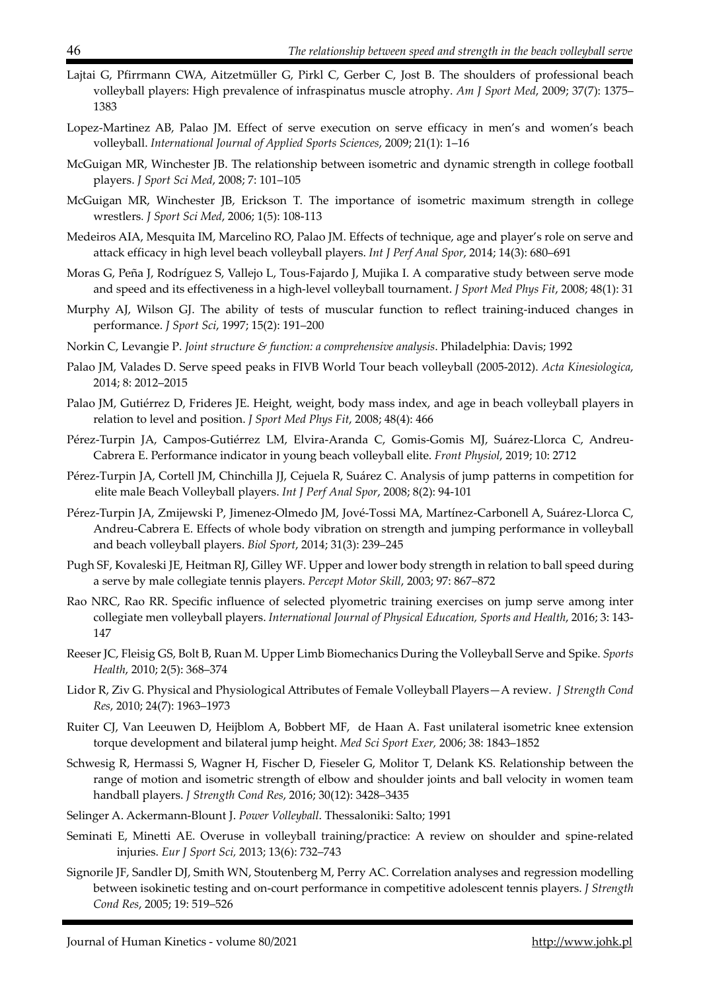- Lajtai G, Pfirrmann CWA, Aitzetmüller G, Pirkl C, Gerber C, Jost B. The shoulders of professional beach volleyball players: High prevalence of infraspinatus muscle atrophy. *Am J Sport Med*, 2009; 37(7): 1375– 1383
- Lopez-Martinez AB, Palao JM. Effect of serve execution on serve efficacy in men's and women's beach volleyball. *International Journal of Applied Sports Sciences*, 2009; 21(1): 1–16
- McGuigan MR, Winchester JB. The relationship between isometric and dynamic strength in college football players. *J Sport Sci Med*, 2008; 7: 101–105
- McGuigan MR, Winchester JB, Erickson T. The importance of isometric maximum strength in college wrestlers*. J Sport Sci Med*, 2006; 1(5): 108-113
- Medeiros AIA, Mesquita IM, Marcelino RO, Palao JM. Effects of technique, age and player's role on serve and attack efficacy in high level beach volleyball players. *Int J Perf Anal Spor*, 2014; 14(3): 680–691
- Moras G, Peña J, Rodríguez S, Vallejo L, Tous-Fajardo J, Mujika I. A comparative study between serve mode and speed and its effectiveness in a high-level volleyball tournament. *J Sport Med Phys Fit*, 2008; 48(1): 31
- Murphy AJ, Wilson GJ. The ability of tests of muscular function to reflect training-induced changes in performance. *J Sport Sci*, 1997; 15(2): 191–200
- Norkin C, Levangie P. *Joint structure & function: a comprehensive analysis*. Philadelphia: Davis; 1992
- Palao JM, Valades D. Serve speed peaks in FIVB World Tour beach volleyball (2005-2012). *Acta Kinesiologica*, 2014; 8: 2012–2015
- Palao JM, Gutiérrez D, Frideres JE. Height, weight, body mass index, and age in beach volleyball players in relation to level and position. *J Sport Med Phys Fit*, 2008; 48(4): 466
- Pérez-Turpin JA, Campos-Gutiérrez LM, Elvira-Aranda C, Gomis-Gomis MJ, Suárez-Llorca C, Andreu-Cabrera E. Performance indicator in young beach volleyball elite. *Front Physiol*, 2019; 10: 2712
- Pérez-Turpin JA, Cortell JM, Chinchilla JJ, Cejuela R, Suárez C. Analysis of jump patterns in competition for elite male Beach Volleyball players. *Int J Perf Anal Spor*, 2008; 8(2): 94-101
- Pérez-Turpin JA, Zmijewski P, Jimenez-Olmedo JM, Jové-Tossi MA, Martínez-Carbonell A, Suárez-Llorca C, Andreu-Cabrera E. Effects of whole body vibration on strength and jumping performance in volleyball and beach volleyball players. *Biol Sport*, 2014; 31(3): 239–245
- Pugh SF, Kovaleski JE, Heitman RJ, Gilley WF. Upper and lower body strength in relation to ball speed during a serve by male collegiate tennis players. *Percept Motor Skill*, 2003; 97: 867–872
- Rao NRC, Rao RR. Specific influence of selected plyometric training exercises on jump serve among inter collegiate men volleyball players. *International Journal of Physical Education, Sports and Health*, 2016; 3: 143- 147
- Reeser JC, Fleisig GS, Bolt B, Ruan M. Upper Limb Biomechanics During the Volleyball Serve and Spike. *Sports Health*, 2010; 2(5): 368–374
- Lidor R, Ziv G. Physical and Physiological Attributes of Female Volleyball Players—A review. *J Strength Cond Res*, 2010; 24(7): 1963–1973
- Ruiter CJ, Van Leeuwen D, Heijblom A, Bobbert MF, de Haan A. Fast unilateral isometric knee extension torque development and bilateral jump height. *Med Sci Sport Exer,* 2006; 38: 1843–1852
- Schwesig R, Hermassi S, Wagner H, Fischer D, Fieseler G, Molitor T, Delank KS. Relationship between the range of motion and isometric strength of elbow and shoulder joints and ball velocity in women team handball players. *J Strength Cond Res*, 2016; 30(12): 3428–3435
- Selinger A. Ackermann-Blount J. *Power Volleyball*. Thessaloniki: Salto; 1991
- Seminati E, Minetti AE. Overuse in volleyball training/practice: A review on shoulder and spine-related injuries. *Eur J Sport Sci,* 2013; 13(6): 732–743
- Signorile JF, Sandler DJ, Smith WN, Stoutenberg M, Perry AC. Correlation analyses and regression modelling between isokinetic testing and on-court performance in competitive adolescent tennis players. *J Strength Cond Res*, 2005; 19: 519–526